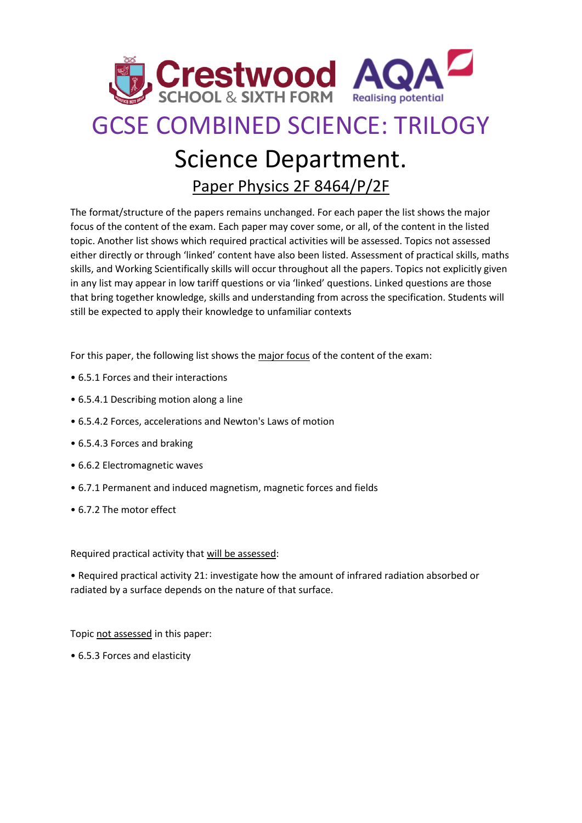

## GCSE COMBINED SCIENCE: TRILOGY

## Science Department.

Paper Physics 2F 8464/P/2F

The format/structure of the papers remains unchanged. For each paper the list shows the major focus of the content of the exam. Each paper may cover some, or all, of the content in the listed topic. Another list shows which required practical activities will be assessed. Topics not assessed either directly or through 'linked' content have also been listed. Assessment of practical skills, maths skills, and Working Scientifically skills will occur throughout all the papers. Topics not explicitly given in any list may appear in low tariff questions or via 'linked' questions. Linked questions are those that bring together knowledge, skills and understanding from across the specification. Students will still be expected to apply their knowledge to unfamiliar contexts

For this paper, the following list shows the major focus of the content of the exam:

- 6.5.1 Forces and their interactions
- 6.5.4.1 Describing motion along a line
- 6.5.4.2 Forces, accelerations and Newton's Laws of motion
- 6.5.4.3 Forces and braking
- 6.6.2 Electromagnetic waves
- 6.7.1 Permanent and induced magnetism, magnetic forces and fields
- 6.7.2 The motor effect

Required practical activity that will be assessed:

• Required practical activity 21: investigate how the amount of infrared radiation absorbed or radiated by a surface depends on the nature of that surface.

Topic not assessed in this paper:

• 6.5.3 Forces and elasticity